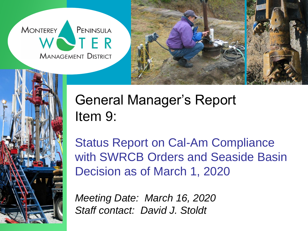**MONTEREY** PENINSULA VTER **MANAGEMENT DISTRICT** 





# General Manager's Report Item 9:

Status Report on Cal-Am Compliance with SWRCB Orders and Seaside Basin Decision as of March 1, 2020

*Meeting Date: March 16, 2020 Staff contact: David J. Stoldt*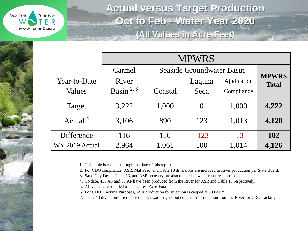

**Actual versus Target Production Oct to Feb - Water Year 2020 (All Values in Acre-Feet)**

|                | <b>MPWRS</b>   |                                  |          |             |                              |  |  |
|----------------|----------------|----------------------------------|----------|-------------|------------------------------|--|--|
|                | Carmel         | <b>Seaside Groundwater Basin</b> |          |             |                              |  |  |
| Year-to-Date   | River          |                                  | Laguna   | Ajudication | <b>MPWRS</b><br><b>Total</b> |  |  |
| Values         | Basin $^{2,6}$ | Coastal                          | Seca     | Compliance  |                              |  |  |
| Target         | 3,222          | 1,000                            | $\Omega$ | 1,000       | 4,222                        |  |  |
| Actual $4$     | 3,106          | 890                              | 123      | 1,013       | 4,120                        |  |  |
| Difference     | 116            | 110                              | $-123$   | $-13$       | <b>102</b>                   |  |  |
| WY 2019 Actual | 2,964          | 1,061                            | 100      | 1,014       | 4,126                        |  |  |

1. This table is current through the date of this report.

2. For CDO compliance, ASR, Mal Paso, and Table 13 diversions are included in River production per State Board.

3. Sand City Desal, Table 13, and ASR recovery are also tracked as water resources projects.

4. To date, 418 AF and 88 AF have been produced from the River for ASR and Table 13 respectively.

5. All values are rounded to the nearest Acre-Foot.

6. For CDO Tracking Purposes, ASR production for injection is capped at 600 AFY.

7. Table 13 diversions are reported under water rights but counted as production from the River for CDO tracking.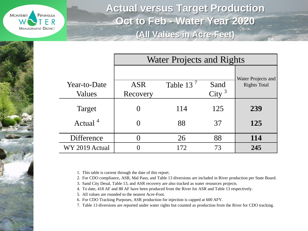

**Actual versus Target Production Oct to Feb - Water Year 2020 (All Values in Acre-Feet)**

|                        | <b>Water Projects and Rights</b> |              |                           |                                           |
|------------------------|----------------------------------|--------------|---------------------------|-------------------------------------------|
| Year-to-Date<br>Values | <b>ASR</b><br>Recovery           | Table 13 $7$ | Sand<br>City <sup>3</sup> | Water Projects and<br><b>Rights Total</b> |
| Target                 |                                  | 114          | 125                       | 239                                       |
| Actual <sup>4</sup>    |                                  | 88           | 37                        | 125                                       |
| Difference             |                                  | 26           | 88                        | <b>114</b>                                |
| WY 2019 Actual         |                                  | 172          | 73                        | 245                                       |

1. This table is current through the date of this report.

2. For CDO compliance, ASR, Mal Paso, and Table 13 diversions are included in River production per State Board.

- 3. Sand City Desal, Table 13, and ASR recovery are also tracked as water resources projects.
- 4. To date, 418 AF and 88 AF have been produced from the River for ASR and Table 13 respectively.

5. All values are rounded to the nearest Acre-Foot.

6. For CDO Tracking Purposes, ASR production for injection is capped at 600 AFY.

7. Table 13 diversions are reported under water rights but counted as production from the River for CDO tracking.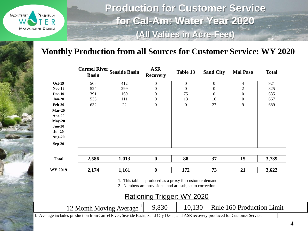

**Production for Customer Service for Cal-Am: Water Year 2020 (All Values in Acre-Feet)**

#### **Monthly Production from all Sources for Customer Service: WY 2020**

|                | <b>Basin</b> | <b>Carmel River Seaside Basin</b>                                                                                                 | <b>ASR</b><br><b>Recovery</b>                                                                                                                        | Table 13         | <b>Sand City</b> | <b>Mal Paso</b>                  | <b>Total</b> |
|----------------|--------------|-----------------------------------------------------------------------------------------------------------------------------------|------------------------------------------------------------------------------------------------------------------------------------------------------|------------------|------------------|----------------------------------|--------------|
| <b>Oct-19</b>  | 505          | 412                                                                                                                               | $\overline{0}$                                                                                                                                       | $\boldsymbol{0}$ | $\boldsymbol{0}$ | 4                                | 921          |
| <b>Nov-19</b>  | 524          | 299                                                                                                                               | $\theta$                                                                                                                                             | $\mathbf{0}$     | $\theta$         | 2                                | 825          |
| <b>Dec-19</b>  | 391          | 169                                                                                                                               | $\mathbf{0}$                                                                                                                                         | 75               | $\Omega$         | 0                                | 635          |
| $Jan-20$       | 533          | 111                                                                                                                               | $\mathbf{0}$                                                                                                                                         | 13               | 10               | $\overline{0}$                   | 667          |
| $Feb-20$       | 632          | 22                                                                                                                                | $\boldsymbol{0}$                                                                                                                                     | $\mathbf{0}$     | 27               | 9                                | 689          |
| $Mar-20$       |              |                                                                                                                                   |                                                                                                                                                      |                  |                  |                                  |              |
| Apr-20         |              |                                                                                                                                   |                                                                                                                                                      |                  |                  |                                  |              |
| $May-20$       |              |                                                                                                                                   |                                                                                                                                                      |                  |                  |                                  |              |
| $Jun-20$       |              |                                                                                                                                   |                                                                                                                                                      |                  |                  |                                  |              |
| $Jul-20$       |              |                                                                                                                                   |                                                                                                                                                      |                  |                  |                                  |              |
| Aug- $20$      |              |                                                                                                                                   |                                                                                                                                                      |                  |                  |                                  |              |
| $Sep-20$       |              |                                                                                                                                   |                                                                                                                                                      |                  |                  |                                  |              |
| <b>Total</b>   | 2,586        | 1,013                                                                                                                             | $\boldsymbol{0}$                                                                                                                                     | 88               | 37               | 15                               | 3,739        |
| <b>WY 2019</b> | 2,174        | 1,161                                                                                                                             | $\boldsymbol{0}$                                                                                                                                     | 172              | 73               | 21                               | 3,622        |
|                |              |                                                                                                                                   | 1. This table is produced as a proxy for customer demand.<br>2. Numbers are provisional and are subject to correction.<br>Rationing Trigger: WY 2020 |                  |                  |                                  |              |
|                |              | 12 Month Moving Average <sup>1</sup>                                                                                              | 9,830                                                                                                                                                | 10,130           |                  | <b>Rule 160 Production Limit</b> |              |
|                |              | 1. Average includes production from Carmel River, Seaside Basin, Sand City Desal, and ASR recovery produced for Customer Service. |                                                                                                                                                      |                  |                  |                                  |              |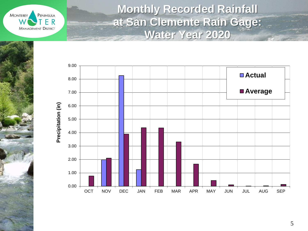**MONTEREY** PENINSULA ER **MANAGEMENT DISTRICT** 

**Monthly Recorded Rainfall at San Clemente Rain Gage: Water Year 2020**

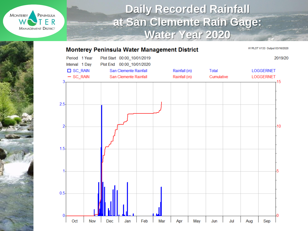

### **Daily Recorded Rainfall at San Clemente Rain Gage: Water Year 2020**

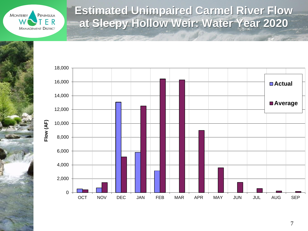

provided the second contract of

## **Estimated Unimpaired Carmel River Flow at Sleepy Hollow Weir: Water Year 2020**